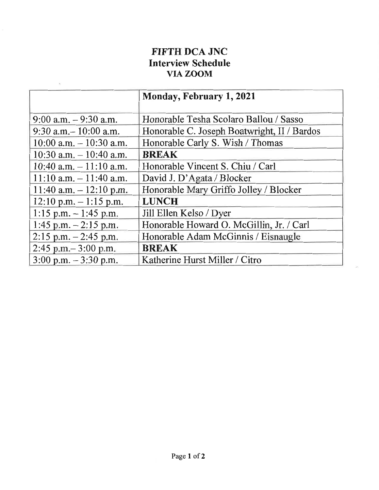## FIFTH DCA JNC Interview Schedule VIA ZOOM

|                                          | Monday, February 1, 2021                    |
|------------------------------------------|---------------------------------------------|
| $9:00$ a.m. $-9:30$ a.m.                 | Honorable Tesha Scolaro Ballou / Sasso      |
| $9:30$ a.m. $-10:00$ a.m.                | Honorable C. Joseph Boatwright, II / Bardos |
| $10:00$ a.m. $-10:30$ a.m.               | Honorable Carly S. Wish / Thomas            |
| $10:30$ a.m. $-10:40$ a.m.               | <b>BREAK</b>                                |
| 10:40 a.m. $-11:10$ a.m.                 | Honorable Vincent S. Chiu / Carl            |
| $11:10$ a.m. $-11:40$ a.m.               | David J. D'Agata / Blocker                  |
| $11:40$ a.m. $-12:10$ p.m.               | Honorable Mary Griffo Jolley / Blocker      |
| $12:10 \text{ p.m.} - 1:15 \text{ p.m.}$ | <b>LUNCH</b>                                |
| $1:15$ p.m. $-1:45$ p.m.                 | Jill Ellen Kelso / Dyer                     |
| $1:45$ p.m. $-2:15$ p.m.                 | Honorable Howard O. McGillin, Jr. / Carl    |
| $2:15$ p.m. $-2:45$ p.m.                 | Honorable Adam McGinnis / Eisnaugle         |
| $2:45$ p.m. $-3:00$ p.m.                 | <b>BREAK</b>                                |
| $3:00 \text{ p.m.} - 3:30 \text{ p.m.}$  | Katherine Hurst Miller / Citro              |